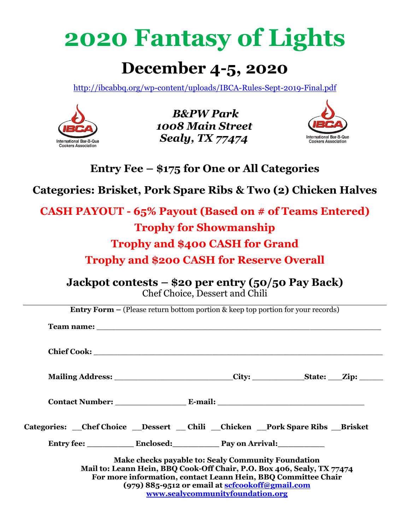# **2020 Fantasy of Lights**

# **December 4-5, 2020**

http://ibcabbq.org/wp-content/uploads/IBCA-Rules-Sept-2019-Final.pdf



*B&PW Park 1008 Main Street Sealy, TX 77474* 



**Entry Fee – \$175 for One or All Categories** 

**Categories: Brisket, Pork Spare Ribs & Two (2) Chicken Halves** 

**CASH PAYOUT - 65% Payout (Based on # of Teams Entered) Trophy for Showmanship Trophy and \$400 CASH for Grand Trophy and \$200 CASH for Reserve Overall**

**Jackpot contests – \$20 per entry (50/50 Pay Back)**  Chef Choice, Dessert and Chili

|                                                                                       | <b>Entry Form –</b> (Please return bottom portion & keep top portion for your records)                                                                                                        |  |                                  |  |  |  |
|---------------------------------------------------------------------------------------|-----------------------------------------------------------------------------------------------------------------------------------------------------------------------------------------------|--|----------------------------------|--|--|--|
|                                                                                       |                                                                                                                                                                                               |  |                                  |  |  |  |
| Mailing Address: ___________________________City: ______________State: ___Zip: ______ |                                                                                                                                                                                               |  |                                  |  |  |  |
|                                                                                       |                                                                                                                                                                                               |  |                                  |  |  |  |
| Categories: Chef Choice Dessert Chili Chicken Pork Spare Ribs Brisket                 |                                                                                                                                                                                               |  |                                  |  |  |  |
|                                                                                       |                                                                                                                                                                                               |  |                                  |  |  |  |
|                                                                                       | Make checks payable to: Sealy Community Foundation<br>Mail to: Leann Hein, BBQ Cook-Off Chair, P.O. Box 406, Sealy, TX 77474<br>For more information, contact Leann Hein, BBQ Committee Chair |  |                                  |  |  |  |
|                                                                                       | (979) 885-9512 or email at scfcookoff@gmail.com                                                                                                                                               |  | www.sealycommunityfoundation.org |  |  |  |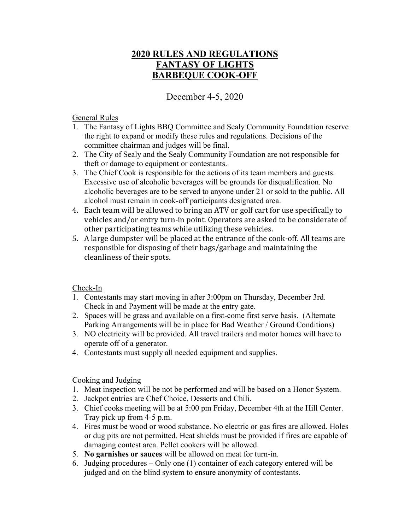# **2020 RULES AND REGULATIONS FANTASY OF LIGHTS BARBEQUE COOK-OFF**

December 4-5, 2020

#### General Rules

- 1. The Fantasy of Lights BBQ Committee and Sealy Community Foundation reserve the right to expand or modify these rules and regulations. Decisions of the committee chairman and judges will be final.
- 2. The City of Sealy and the Sealy Community Foundation are not responsible for theft or damage to equipment or contestants.
- 3. The Chief Cook is responsible for the actions of its team members and guests. Excessive use of alcoholic beverages will be grounds for disqualification. No alcoholic beverages are to be served to anyone under 21 or sold to the public. All alcohol must remain in cook-off participants designated area.
- 4. Each team will be allowed to bring an ATV or golf cart for use specifically to vehicles and/or entry turn-in point. Operators are asked to be considerate of other participating teams while utilizing these vehicles.
- 5. A large dumpster will be placed at the entrance of the cook-off. All teams are responsible for disposing of their bags/garbage and maintaining the cleanliness of their spots.

## Check-In

- 1. Contestants may start moving in after 3:00pm on Thursday, December 3rd. Check in and Payment will be made at the entry gate.
- 2. Spaces will be grass and available on a first-come first serve basis. (Alternate Parking Arrangements will be in place for Bad Weather / Ground Conditions)
- 3. NO electricity will be provided. All travel trailers and motor homes will have to operate off of a generator.
- 4. Contestants must supply all needed equipment and supplies.

## Cooking and Judging

- 1. Meat inspection will be not be performed and will be based on a Honor System.
- 2. Jackpot entries are Chef Choice, Desserts and Chili.
- 3. Chief cooks meeting will be at 5:00 pm Friday, December 4th at the Hill Center. Tray pick up from 4-5 p.m.
- 4. Fires must be wood or wood substance. No electric or gas fires are allowed. Holes or dug pits are not permitted. Heat shields must be provided if fires are capable of damaging contest area. Pellet cookers will be allowed.
- 5. **No garnishes or sauces** will be allowed on meat for turn-in.
- 6. Judging procedures Only one (1) container of each category entered will be judged and on the blind system to ensure anonymity of contestants.